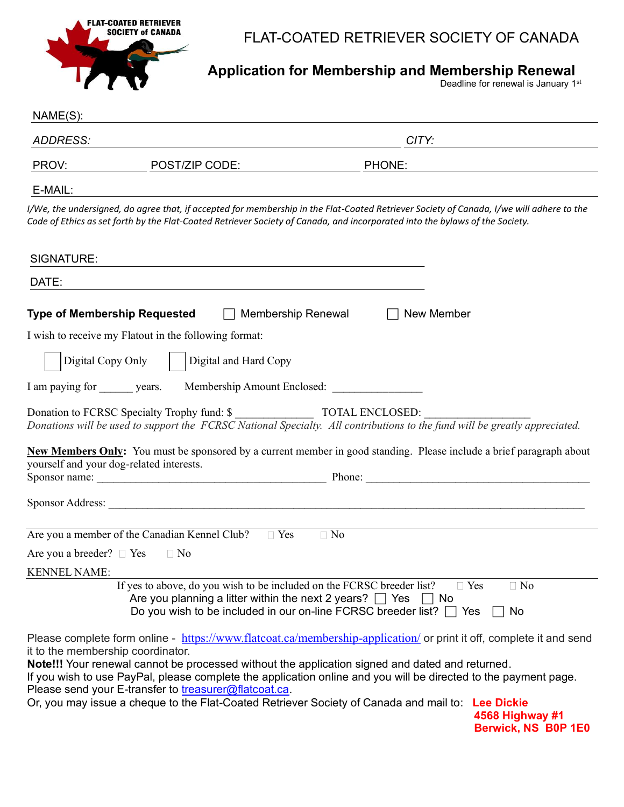

## FLAT-COATED RETRIEVER SOCIETY OF CANADA

**Application for Membership and Membership Renewal**

**Deadline for renewal is January 1st Contract Contract Contract Contract Contract Contract Contract Contract Contract Contract Contract Contract Contract Contract Contract Contract Contract Contract Contract Contract Contr** 

| $NAME(S)$ :                       |                                                                                                                                         |                                                                                                                                                                                                                                                                                                                                                  |  |
|-----------------------------------|-----------------------------------------------------------------------------------------------------------------------------------------|--------------------------------------------------------------------------------------------------------------------------------------------------------------------------------------------------------------------------------------------------------------------------------------------------------------------------------------------------|--|
| <b>ADDRESS:</b>                   |                                                                                                                                         | CITY:                                                                                                                                                                                                                                                                                                                                            |  |
| PROV:                             | POST/ZIP CODE:                                                                                                                          | PHONE:                                                                                                                                                                                                                                                                                                                                           |  |
| E-MAIL:                           |                                                                                                                                         |                                                                                                                                                                                                                                                                                                                                                  |  |
|                                   |                                                                                                                                         | I/We, the undersigned, do agree that, if accepted for membership in the Flat-Coated Retriever Society of Canada, I/we will adhere to the<br>Code of Ethics as set forth by the Flat-Coated Retriever Society of Canada, and incorporated into the bylaws of the Society.                                                                         |  |
| SIGNATURE:                        |                                                                                                                                         |                                                                                                                                                                                                                                                                                                                                                  |  |
| DATE:                             |                                                                                                                                         |                                                                                                                                                                                                                                                                                                                                                  |  |
|                                   | <b>Type of Membership Requested</b><br>Membership Renewal                                                                               | New Member                                                                                                                                                                                                                                                                                                                                       |  |
|                                   | I wish to receive my Flatout in the following format:                                                                                   |                                                                                                                                                                                                                                                                                                                                                  |  |
|                                   | Digital Copy Only<br>Digital and Hard Copy                                                                                              |                                                                                                                                                                                                                                                                                                                                                  |  |
| I am paying for years.            |                                                                                                                                         | Membership Amount Enclosed:                                                                                                                                                                                                                                                                                                                      |  |
|                                   |                                                                                                                                         | Donations will be used to support the FCRSC National Specialty. All contributions to the fund will be greatly appreciated.                                                                                                                                                                                                                       |  |
|                                   | yourself and your dog-related interests.                                                                                                | New Members Only: You must be sponsored by a current member in good standing. Please include a brief paragraph about                                                                                                                                                                                                                             |  |
|                                   |                                                                                                                                         |                                                                                                                                                                                                                                                                                                                                                  |  |
|                                   | Are you a member of the Canadian Kennel Club?<br>$\Box$ Yes                                                                             | $\Box$ No                                                                                                                                                                                                                                                                                                                                        |  |
| Are you a breeder? $\Box$ Yes     | $\Box$ No                                                                                                                               |                                                                                                                                                                                                                                                                                                                                                  |  |
| <b>KENNEL NAME:</b>               |                                                                                                                                         |                                                                                                                                                                                                                                                                                                                                                  |  |
|                                   | If yes to above, do you wish to be included on the FCRSC breeder list?<br>Are you planning a litter within the next 2 years? $\Box$ Yes | $\Box$ Yes<br>$\Box$ No<br>$\Box$ No<br>Do you wish to be included in our on-line FCRSC breeder list? $\Box$ Yes<br>No                                                                                                                                                                                                                           |  |
| it to the membership coordinator. | Please send your E-transfer to treasurer@flatcoat.ca.                                                                                   | Please complete form online - https://www.flatcoat.ca/membership-application/ or print it off, complete it and send<br><b>Note!!!</b> Your renewal cannot be processed without the application signed and dated and returned.<br>If you wish to use PayPal, please complete the application online and you will be directed to the payment page. |  |
|                                   | Or, you may issue a cheque to the Flat-Coated Retriever Society of Canada and mail to:                                                  | <b>Lee Dickie</b><br>4568 Highway #1<br>Berwick, NS B0P 1E0                                                                                                                                                                                                                                                                                      |  |